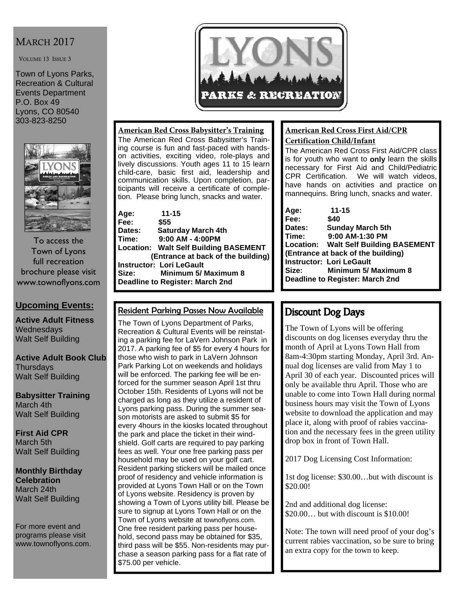# **MARCH 2017**

VOLUME 13 ISSUE 3

Town of Lyons Parks, Recreation & Cultural Events Department P.O. Box 49 Lyons, CO 80540 303-823-8250



To access the Town of Lyons full recreation brochure please visit www.townoflyons.com

### **Upcoming Events:**

**Active Adult Fitness Wednesdays** Walt Self Building

**Active Adult Book Club Thursdays** Walt Self Building

**Babysitter Training**  March 4th Walt Self Building

**First Aid CPR**  March 5th Walt Self Building

**Monthly Birthday Celebration**  March 24th Walt Self Building

For more event and programs please visit www.townoflyons.com.



#### **American Red Cross Babysitter's Training**

The American Red Cross Babysitter's Training course is fun and fast-paced with handson activities, exciting video, role-plays and lively discussions. Youth ages 11 to 15 learn child-care, basic first aid, leadership and communication skills. Upon completion, participants will receive a certificate of completion. Please bring lunch, snacks and water.

| Age:                                   | $11 - 15$                                    |  |
|----------------------------------------|----------------------------------------------|--|
| Fee:                                   | \$55                                         |  |
| Dates:                                 | <b>Saturday March 4th</b>                    |  |
| Time:                                  | 9:00 AM - 4:00PM                             |  |
|                                        | <b>Location: Walt Self Building BASEMENT</b> |  |
| (Entrance at back of the building)     |                                              |  |
|                                        | <b>Instructor: Lori LeGault</b>              |  |
| Size:                                  | Minimum 5/ Maximum 8                         |  |
| <b>Deadline to Register: March 2nd</b> |                                              |  |
|                                        |                                              |  |

### Resident Parking Passes Now Available

The Town of Lyons Department of Parks, Recreation & Cultural Events will be reinstating a parking fee for LaVern Johnson Park in 2017. A parking fee of \$5 for every 4 hours for those who wish to park in LaVern Johnson Park Parking Lot on weekends and holidays will be enforced. The parking fee will be enforced for the summer season April 1st thru October 15th. Residents of Lyons will not be charged as long as they utilize a resident of Lyons parking pass. During the summer season motorists are asked to submit \$5 for every 4hours in the kiosks located throughout the park and place the ticket in their windshield. Golf carts are required to pay parking fees as well. Your one free parking pass per household may be used on your golf cart. Resident parking stickers will be mailed once proof of residency and vehicle information is provided at Lyons Town Hall or on the Town of Lyons website. Residency is proven by showing a Town of Lyons utility bill. Please be sure to signup at Lyons Town Hall or on the Town of Lyons website at townoflyons.com. One free resident parking pass per household, second pass may be obtained for \$35, third pass will be \$55. Non-residents may purchase a season parking pass for a flat rate of \$75.00 per vehicle.

#### **American Red Cross First Aid/CPR Certification Child/Infant**

The American Red Cross First Aid/CPR class is for youth who want to **only** learn the skills necessary for First Aid and Child/Pediatric CPR Certification. We will watch videos, have hands on activities and practice on mannequins. Bring lunch, snacks and water.

| $11 - 15$                             |  |  |
|---------------------------------------|--|--|
| \$40                                  |  |  |
| <b>Sunday March 5th</b>               |  |  |
| 9:00 AM-1:30 PM                       |  |  |
| Location: Walt Self Building BASEMENT |  |  |
| (Entrance at back of the building)    |  |  |
| <b>Instructor: Lori LeGault</b>       |  |  |
|                                       |  |  |
| Deadline to Register: March 2nd       |  |  |
|                                       |  |  |

# **Discount Dog Days**

The Town of Lyons will be offering discounts on dog licenses everyday thru the month of April at Lyons Town Hall from 8am-4:30pm starting Monday, April 3rd. Annual dog licenses are valid from May 1 to April 30 of each year. Discounted prices will only be available thru April. Those who are unable to come into Town Hall during normal business hours may visit the Town of Lyons website to download the application and may place it, along with proof of rabies vaccination and the necessary fees in the green utility drop box in front of Town Hall.

2017 Dog Licensing Cost Information:

1st dog license: \$30.00…but with discount is \$20.00!

2nd and additional dog license: \$20.00… but with discount is \$10.00!

Note: The town will need proof of your dog's current rabies vaccination, so be sure to bring an extra copy for the town to keep.